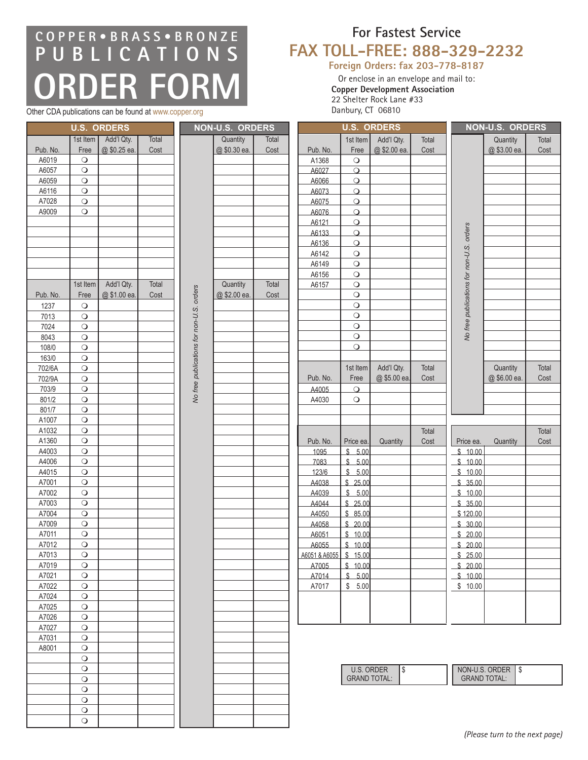## **ORDER FORM COPPER•BRASS•BRONZE PUBLICATIONS** Other CDA publications can be found at www.copper.org

## **For Fastest Service FAX TOLL-FREE: 888-329-2232**

**Foreign Orders: fax 203-778-8187**

Or enclose in an envelope and mail to: **Copper Development Association** 22 Shelter Rock Lane #33 Danbury, CT 06810

|          |                    | <b>U.S. ORDERS</b> |       |                                          | <b>NON-U.S. ORDERS</b> |       |               | <b>U.S. ORDERS</b> |                     |       |                                          | <b>NON-U.S. ORDERS</b> |       |  |
|----------|--------------------|--------------------|-------|------------------------------------------|------------------------|-------|---------------|--------------------|---------------------|-------|------------------------------------------|------------------------|-------|--|
|          | 1st Item           | Add'l Qty.         | Total |                                          | Quantity               | Total |               | 1st Item           | Add'l Qty.          | Total |                                          | Quantity               | Total |  |
| Pub. No. | Free               | @ \$0.25 ea.       | Cost  |                                          | @ \$0.30 ea.           | Cost  | Pub. No.      | Free               | @ \$2.00 ea.        | Cost  |                                          | @ \$3.00 ea.           | Cost  |  |
| A6019    | $\circ$            |                    |       |                                          |                        |       | A1368         | $\bigcirc$         |                     |       |                                          |                        |       |  |
| A6057    | $\bigcirc$         |                    |       |                                          |                        |       | A6027         | $\Omega$           |                     |       |                                          |                        |       |  |
| A6059    | $\bigcirc$         |                    |       |                                          |                        |       | A6066         | $\Omega$           |                     |       |                                          |                        |       |  |
| A6116    | $\bigcirc$         |                    |       |                                          |                        |       | A6073         | $\circ$            |                     |       |                                          |                        |       |  |
| A7028    | $\circ$            |                    |       |                                          |                        |       | A6075         | $\circ$            |                     |       |                                          |                        |       |  |
| A9009    | $\circ$            |                    |       |                                          |                        |       | A6076         | $\circ$            |                     |       |                                          |                        |       |  |
|          |                    |                    |       |                                          |                        |       | A6121         | $\Omega$           |                     |       |                                          |                        |       |  |
|          |                    |                    |       |                                          |                        |       |               |                    |                     |       |                                          |                        |       |  |
|          |                    |                    |       |                                          |                        |       | A6133         | $\Omega$           |                     |       |                                          |                        |       |  |
|          |                    |                    |       |                                          |                        |       | A6136         | $\circ$            |                     |       |                                          |                        |       |  |
|          |                    |                    |       |                                          |                        |       | A6142         | $\bigcirc$         |                     |       |                                          |                        |       |  |
|          |                    |                    |       |                                          |                        |       | A6149         | $\bigcirc$         |                     |       |                                          |                        |       |  |
|          |                    |                    |       |                                          |                        |       | A6156         | $\bigcirc$         |                     |       |                                          |                        |       |  |
|          | 1st Item           | Add'l Qty.         | Total |                                          | Quantity               | Total | A6157         | $\bigcirc$         |                     |       |                                          |                        |       |  |
| Pub. No. | Free               | @\$1.00 ea.        | Cost  |                                          | @ \$2.00 ea.           | Cost  |               | $\bigcirc$         |                     |       |                                          |                        |       |  |
| 1237     | $\bigcirc$         |                    |       |                                          |                        |       |               | $\circ$            |                     |       |                                          |                        |       |  |
| 7013     | $\circ$            |                    |       |                                          |                        |       |               | $\circ$            |                     |       |                                          |                        |       |  |
| 7024     | $\bigcirc$         |                    |       |                                          |                        |       |               | $\circ$            |                     |       | No free publications for non-U.S. orders |                        |       |  |
| 8043     | $\circ$            |                    |       |                                          |                        |       |               | $\bigcirc$         |                     |       |                                          |                        |       |  |
| 108/0    | $\circ$            |                    |       | No free publications for non-U.S. orders |                        |       |               | $\overline{O}$     |                     |       |                                          |                        |       |  |
| 163/0    | $\circ$            |                    |       |                                          |                        |       |               |                    |                     |       |                                          |                        |       |  |
| 702/6A   | $\circ$            |                    |       |                                          |                        |       |               | 1st Item           | Add'l Qty.          | Total |                                          | Quantity               | Total |  |
| 702/9A   | $\bigcirc$         |                    |       |                                          |                        |       | Pub. No.      | Free               | @\$5.00 ea.         | Cost  |                                          | @ \$6.00 ea.           | Cost  |  |
| 703/9    | $\bigcirc$         |                    |       |                                          |                        |       | A4005         | $\circ$            |                     |       |                                          |                        |       |  |
| 801/2    | $\bigcirc$         |                    |       |                                          |                        |       | A4030         |                    |                     |       |                                          |                        |       |  |
| 801/7    | $\bigcirc$         |                    |       |                                          |                        |       |               |                    |                     |       |                                          |                        |       |  |
| A1007    | $\circ$            |                    |       |                                          |                        |       |               |                    |                     |       |                                          |                        |       |  |
| A1032    | $\bigcirc$         |                    |       |                                          |                        |       |               |                    |                     | Total |                                          |                        | Total |  |
| A1360    | $\bigcirc$         |                    |       |                                          |                        |       | Pub. No.      | Price ea.          | Quantity            | Cost  | Price ea.                                | Quantity               | Cost  |  |
| A4003    | $\bigcirc$         |                    |       |                                          |                        |       | 1095          | \$ 5.00            |                     |       | \$10.00                                  |                        |       |  |
| A4006    | $\bigcirc$         |                    |       |                                          |                        |       | 7083          | \$ 5.00            |                     |       | \$10.00                                  |                        |       |  |
| A4015    | $\circ$            |                    |       |                                          |                        |       | 123/6         | \$5.00             |                     |       | \$10.00                                  |                        |       |  |
| A7001    | $\bigcirc$         |                    |       |                                          |                        |       | A4038         | \$25.00            |                     |       | \$35.00                                  |                        |       |  |
| A7002    | $\bigcirc$         |                    |       |                                          |                        |       | A4039         | \$ 5.00            |                     |       | \$10.00                                  |                        |       |  |
| A7003    | $\bigcirc$         |                    |       |                                          |                        |       | A4044         | \$25.00            |                     |       | \$35.00                                  |                        |       |  |
| A7004    | $\overline{\circ}$ |                    |       |                                          |                        |       | A4050         | \$85.00            |                     |       | \$120.00                                 |                        |       |  |
| A7009    | $\circ$            |                    |       |                                          |                        |       | A4058         | \$20.00            |                     |       | \$30.00                                  |                        |       |  |
| A7011    | $\bigcirc$         |                    |       |                                          |                        |       | A6051         | \$10.00            |                     |       | \$20.00                                  |                        |       |  |
|          | $\circ$            |                    |       |                                          |                        |       |               | \$10.00            |                     |       | \$20.00                                  |                        |       |  |
| A7012    |                    |                    |       |                                          |                        |       | A6055         |                    |                     |       |                                          |                        |       |  |
| A7013    | $\circ$            |                    |       |                                          |                        |       | A6051 & A6055 | \$15.00            |                     |       | \$25.00                                  |                        |       |  |
| A7019    | $\bigcirc$         |                    |       |                                          |                        |       | A7005         | \$10.00            |                     |       | \$20.00                                  |                        |       |  |
| A7021    | $\circ$            |                    |       |                                          |                        |       | A7014         | \$5.00             |                     |       | \$10.00                                  |                        |       |  |
| A7022    | $\bigcirc$         |                    |       |                                          |                        |       | A7017         | \$ 5.00            |                     |       | \$10.00                                  |                        |       |  |
| A7024    | $\circ$            |                    |       |                                          |                        |       |               |                    |                     |       |                                          |                        |       |  |
| A7025    | $\bigcirc$         |                    |       |                                          |                        |       |               |                    |                     |       |                                          |                        |       |  |
| A7026    | $\bigcirc$         |                    |       |                                          |                        |       |               |                    |                     |       |                                          |                        |       |  |
| A7027    | $\bigcirc$         |                    |       |                                          |                        |       |               |                    |                     |       |                                          |                        |       |  |
| A7031    | $\bigcirc$         |                    |       |                                          |                        |       |               |                    |                     |       |                                          |                        |       |  |
| A8001    | $\circ$            |                    |       |                                          |                        |       |               |                    |                     |       |                                          |                        |       |  |
|          | $\bigcirc$         |                    |       |                                          |                        |       |               |                    |                     |       |                                          |                        |       |  |
|          | $\bigcirc$         |                    |       |                                          |                        |       |               |                    | U.S. ORDER<br> \$   |       |                                          | NON-U.S. ORDER \$      |       |  |
|          | $\circ$            |                    |       |                                          |                        |       |               |                    | <b>GRAND TOTAL:</b> |       |                                          | <b>GRAND TOTAL:</b>    |       |  |
|          | $\bigcirc$         |                    |       |                                          |                        |       |               |                    |                     |       |                                          |                        |       |  |
|          | $\bigcirc$         |                    |       |                                          |                        |       |               |                    |                     |       |                                          |                        |       |  |
|          | $\circ$            |                    |       |                                          |                        |       |               |                    |                     |       |                                          |                        |       |  |
|          | $\circ$            |                    |       |                                          |                        |       |               |                    |                     |       |                                          |                        |       |  |
|          |                    |                    |       |                                          |                        |       |               |                    |                     |       |                                          |                        |       |  |